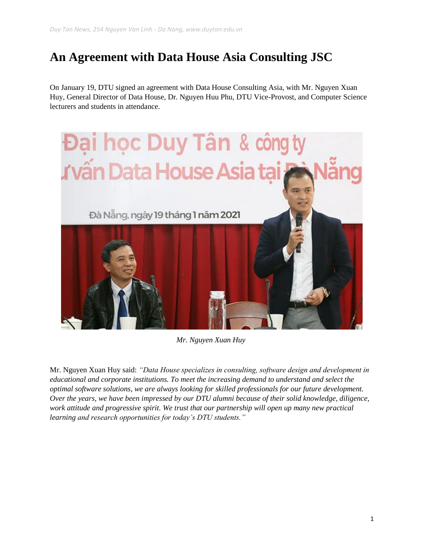## **An Agreement with Data House Asia Consulting JSC**

On January 19, DTU signed an agreement with Data House Consulting Asia, with Mr. Nguyen Xuan Huy, General Director of Data House, Dr. Nguyen Huu Phu, DTU Vice-Provost, and Computer Science lecturers and students in attendance.



*Mr. Nguyen Xuan Huy*

Mr. Nguyen Xuan Huy said: *"Data House specializes in consulting, software design and development in educational and corporate institutions. To meet the increasing demand to understand and select the optimal software solutions, we are always looking for skilled professionals for our future development. Over the years, we have been impressed by our DTU alumni because of their solid knowledge, diligence, work attitude and progressive spirit. We trust that our partnership will open up many new practical learning and research opportunities for today's DTU students."*